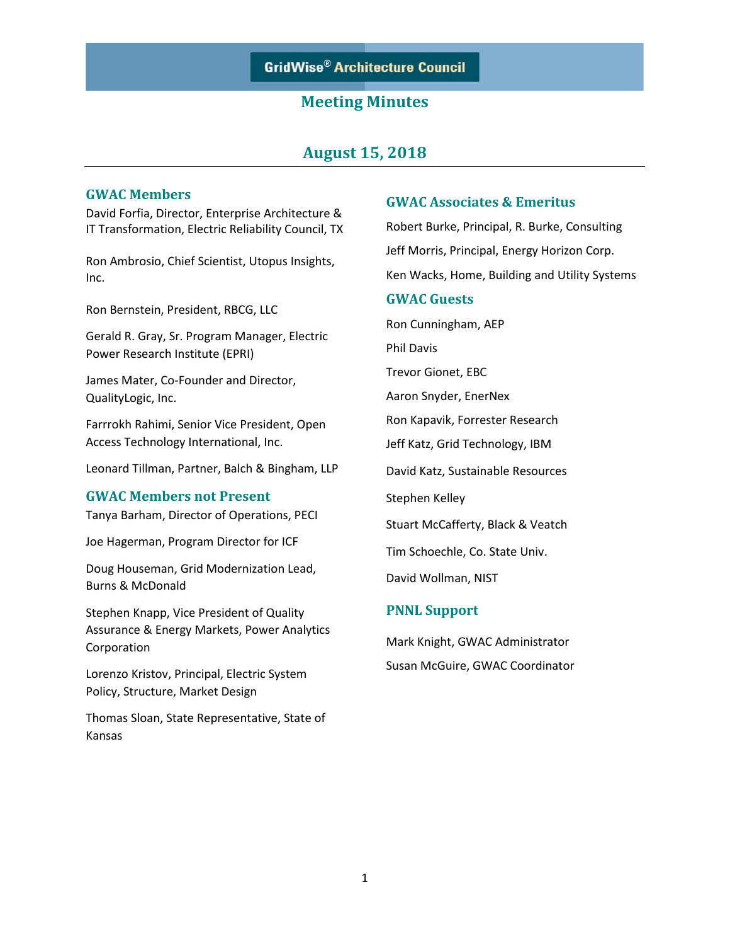## **August 15, 2018**

#### **GWAC Members**

David Forfia, Director, Enterprise Architecture & IT Transformation, Electric Reliability Council, TX

Ron Ambrosio, Chief Scientist, Utopus Insights, Inc.

Ron Bernstein, President, RBCG, LLC

Gerald R. Gray, Sr. Program Manager, Electric Power Research Institute (EPRI)

James Mater, Co-Founder and Director, QualityLogic, Inc.

Farrrokh Rahimi, Senior Vice President, Open Access Technology International, Inc.

Leonard Tillman, Partner, Balch & Bingham, LLP

#### **GWAC Members not Present**

Tanya Barham, Director of Operations, PECI

Joe Hagerman, Program Director for ICF

Doug Houseman, Grid Modernization Lead, Burns & McDonald

Stephen Knapp, Vice President of Quality Assurance & Energy Markets, Power Analytics Corporation

Lorenzo Kristov, Principal, Electric System Policy, Structure, Market Design

Thomas Sloan, State Representative, State of Kansas

#### **GWAC Associates & Emeritus**

Robert Burke, Principal, R. Burke, Consulting Jeff Morris, Principal, Energy Horizon Corp. Ken Wacks, Home, Building and Utility Systems **GWAC Guests** Ron Cunningham, AEP Phil Davis

Trevor Gionet, EBC

Aaron Snyder, EnerNex

Ron Kapavik, Forrester Research

Jeff Katz, Grid Technology, IBM

David Katz, Sustainable Resources

Stephen Kelley

Stuart McCafferty, Black & Veatch

Tim Schoechle, Co. State Univ.

David Wollman, NIST

#### **PNNL Support**

Mark Knight, GWAC Administrator Susan McGuire, GWAC Coordinator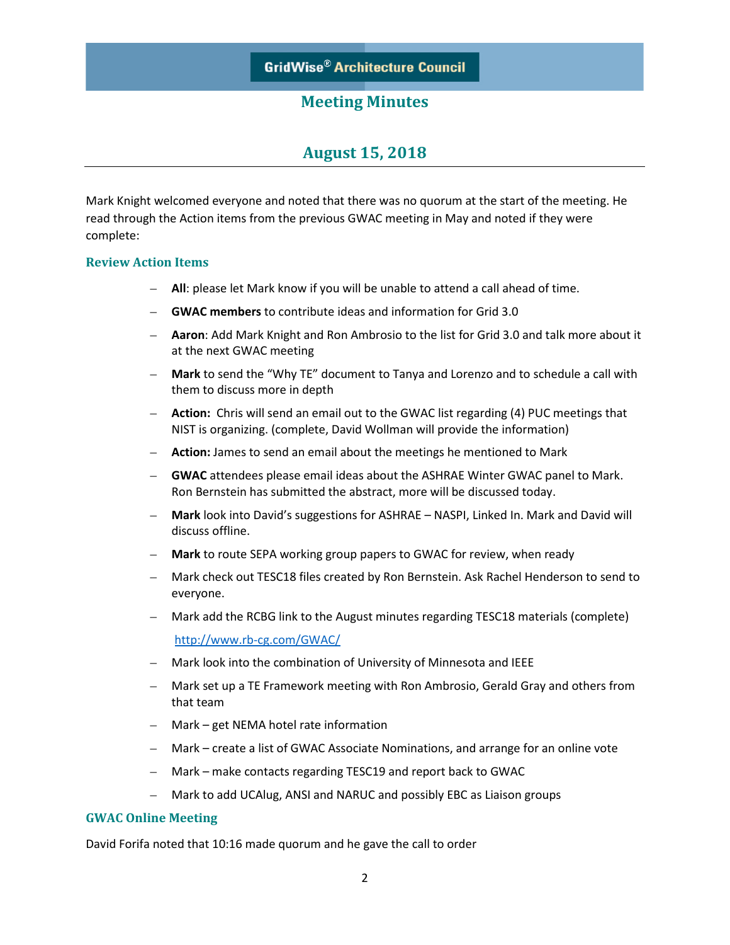# **August 15, 2018**

Mark Knight welcomed everyone and noted that there was no quorum at the start of the meeting. He read through the Action items from the previous GWAC meeting in May and noted if they were complete:

#### **Review Action Items**

- **All**: please let Mark know if you will be unable to attend a call ahead of time.
- **GWAC members** to contribute ideas and information for Grid 3.0
- **Aaron**: Add Mark Knight and Ron Ambrosio to the list for Grid 3.0 and talk more about it at the next GWAC meeting
- **Mark** to send the "Why TE" document to Tanya and Lorenzo and to schedule a call with them to discuss more in depth
- **Action:** Chris will send an email out to the GWAC list regarding (4) PUC meetings that NIST is organizing. (complete, David Wollman will provide the information)
- **Action:** James to send an email about the meetings he mentioned to Mark
- **GWAC** attendees please email ideas about the ASHRAE Winter GWAC panel to Mark. Ron Bernstein has submitted the abstract, more will be discussed today.
- **Mark** look into David's suggestions for ASHRAE NASPI, Linked In. Mark and David will discuss offline.
- **Mark** to route SEPA working group papers to GWAC for review, when ready
- Mark check out TESC18 files created by Ron Bernstein. Ask Rachel Henderson to send to everyone.
- Mark add the RCBG link to the August minutes regarding TESC18 materials (complete) <http://www.rb-cg.com/GWAC/>
- Mark look into the combination of University of Minnesota and IEEE
- Mark set up a TE Framework meeting with Ron Ambrosio, Gerald Gray and others from that team
- Mark get NEMA hotel rate information
- Mark create a list of GWAC Associate Nominations, and arrange for an online vote
- Mark make contacts regarding TESC19 and report back to GWAC
- Mark to add UCAlug, ANSI and NARUC and possibly EBC as Liaison groups

#### **GWAC Online Meeting**

David Forifa noted that 10:16 made quorum and he gave the call to order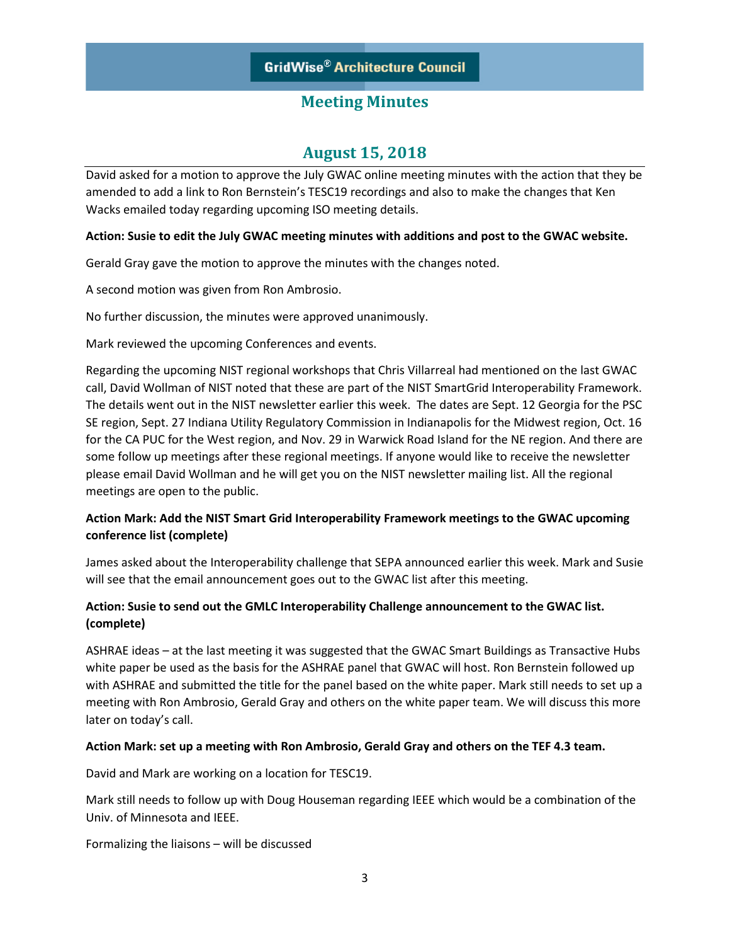# **August 15, 2018**

David asked for a motion to approve the July GWAC online meeting minutes with the action that they be amended to add a link to Ron Bernstein's TESC19 recordings and also to make the changes that Ken Wacks emailed today regarding upcoming ISO meeting details.

### **Action: Susie to edit the July GWAC meeting minutes with additions and post to the GWAC website.**

Gerald Gray gave the motion to approve the minutes with the changes noted.

A second motion was given from Ron Ambrosio.

No further discussion, the minutes were approved unanimously.

Mark reviewed the upcoming Conferences and events.

Regarding the upcoming NIST regional workshops that Chris Villarreal had mentioned on the last GWAC call, David Wollman of NIST noted that these are part of the NIST SmartGrid Interoperability Framework. The details went out in the NIST newsletter earlier this week. The dates are Sept. 12 Georgia for the PSC SE region, Sept. 27 Indiana Utility Regulatory Commission in Indianapolis for the Midwest region, Oct. 16 for the CA PUC for the West region, and Nov. 29 in Warwick Road Island for the NE region. And there are some follow up meetings after these regional meetings. If anyone would like to receive the newsletter please email David Wollman and he will get you on the NIST newsletter mailing list. All the regional meetings are open to the public.

### **Action Mark: Add the NIST Smart Grid Interoperability Framework meetings to the GWAC upcoming conference list (complete)**

James asked about the Interoperability challenge that SEPA announced earlier this week. Mark and Susie will see that the email announcement goes out to the GWAC list after this meeting.

## **Action: Susie to send out the GMLC Interoperability Challenge announcement to the GWAC list. (complete)**

ASHRAE ideas – at the last meeting it was suggested that the GWAC Smart Buildings as Transactive Hubs white paper be used as the basis for the ASHRAE panel that GWAC will host. Ron Bernstein followed up with ASHRAE and submitted the title for the panel based on the white paper. Mark still needs to set up a meeting with Ron Ambrosio, Gerald Gray and others on the white paper team. We will discuss this more later on today's call.

### **Action Mark: set up a meeting with Ron Ambrosio, Gerald Gray and others on the TEF 4.3 team.**

David and Mark are working on a location for TESC19.

Mark still needs to follow up with Doug Houseman regarding IEEE which would be a combination of the Univ. of Minnesota and IEEE.

Formalizing the liaisons – will be discussed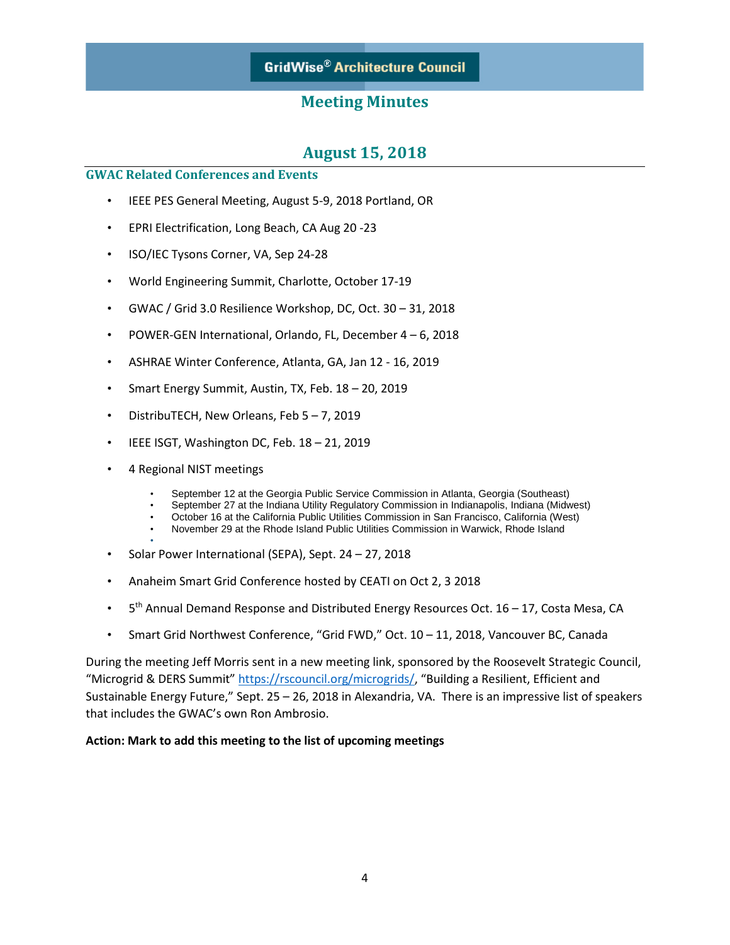# **August 15, 2018**

### **GWAC Related Conferences and Events**

- IEEE PES General Meeting, August 5-9, 2018 Portland, OR
- EPRI Electrification, Long Beach, CA Aug 20 -23
- ISO/IEC Tysons Corner, VA, Sep 24-28
- World Engineering Summit, Charlotte, October 17-19
- GWAC / Grid 3.0 Resilience Workshop, DC, Oct. 30 31, 2018
- POWER-GEN International, Orlando, FL, December 4 6, 2018
- ASHRAE Winter Conference, Atlanta, GA, Jan 12 16, 2019
- Smart Energy Summit, Austin, TX, Feb. 18 20, 2019
- DistribuTECH, New Orleans, Feb 5 7, 2019
- IEEE ISGT, Washington DC, Feb. 18 21, 2019
- 4 Regional NIST meetings
	- September 12 at the Georgia Public Service Commission in Atlanta, Georgia (Southeast)
	- September 27 at the Indiana Utility Regulatory Commission in Indianapolis, Indiana (Midwest)
	- October 16 at the California Public Utilities Commission in San Francisco, California (West)
	- November 29 at the Rhode Island Public Utilities Commission in Warwick, Rhode Island
- • Solar Power International (SEPA), Sept. 24 – 27, 2018
- Anaheim Smart Grid Conference hosted by CEATI on Oct 2, 3 2018
- $5<sup>th</sup>$  Annual Demand Response and Distributed Energy Resources Oct. 16 17, Costa Mesa, CA
- Smart Grid Northwest Conference, "Grid FWD," Oct. 10 11, 2018, Vancouver BC, Canada

During the meeting Jeff Morris sent in a new meeting link, sponsored by the Roosevelt Strategic Council, "Microgrid & DERS Summit" [https://rscouncil.org/microgrids/,](https://rscouncil.org/microgrids/) "Building a Resilient, Efficient and Sustainable Energy Future," Sept. 25 – 26, 2018 in Alexandria, VA. There is an impressive list of speakers that includes the GWAC's own Ron Ambrosio.

### **Action: Mark to add this meeting to the list of upcoming meetings**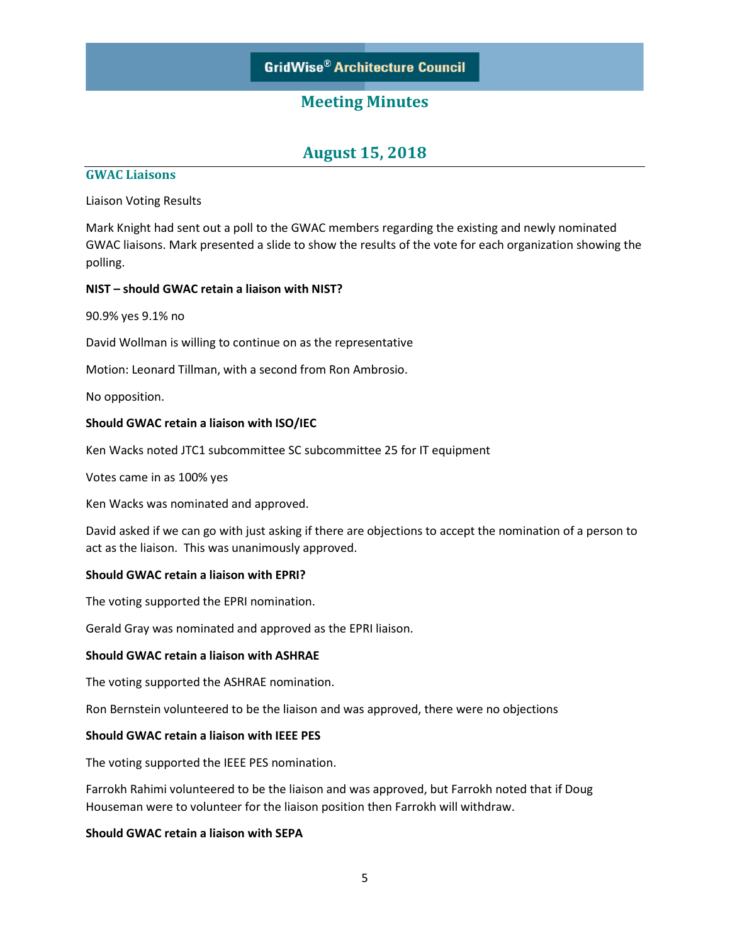## **August 15, 2018**

#### **GWAC Liaisons**

Liaison Voting Results

Mark Knight had sent out a poll to the GWAC members regarding the existing and newly nominated GWAC liaisons. Mark presented a slide to show the results of the vote for each organization showing the polling.

#### **NIST – should GWAC retain a liaison with NIST?**

90.9% yes 9.1% no

David Wollman is willing to continue on as the representative

Motion: Leonard Tillman, with a second from Ron Ambrosio.

No opposition.

#### **Should GWAC retain a liaison with ISO/IEC**

Ken Wacks noted JTC1 subcommittee SC subcommittee 25 for IT equipment

Votes came in as 100% yes

Ken Wacks was nominated and approved.

David asked if we can go with just asking if there are objections to accept the nomination of a person to act as the liaison. This was unanimously approved.

#### **Should GWAC retain a liaison with EPRI?**

The voting supported the EPRI nomination.

Gerald Gray was nominated and approved as the EPRI liaison.

#### **Should GWAC retain a liaison with ASHRAE**

The voting supported the ASHRAE nomination.

Ron Bernstein volunteered to be the liaison and was approved, there were no objections

#### **Should GWAC retain a liaison with IEEE PES**

The voting supported the IEEE PES nomination.

Farrokh Rahimi volunteered to be the liaison and was approved, but Farrokh noted that if Doug Houseman were to volunteer for the liaison position then Farrokh will withdraw.

### **Should GWAC retain a liaison with SEPA**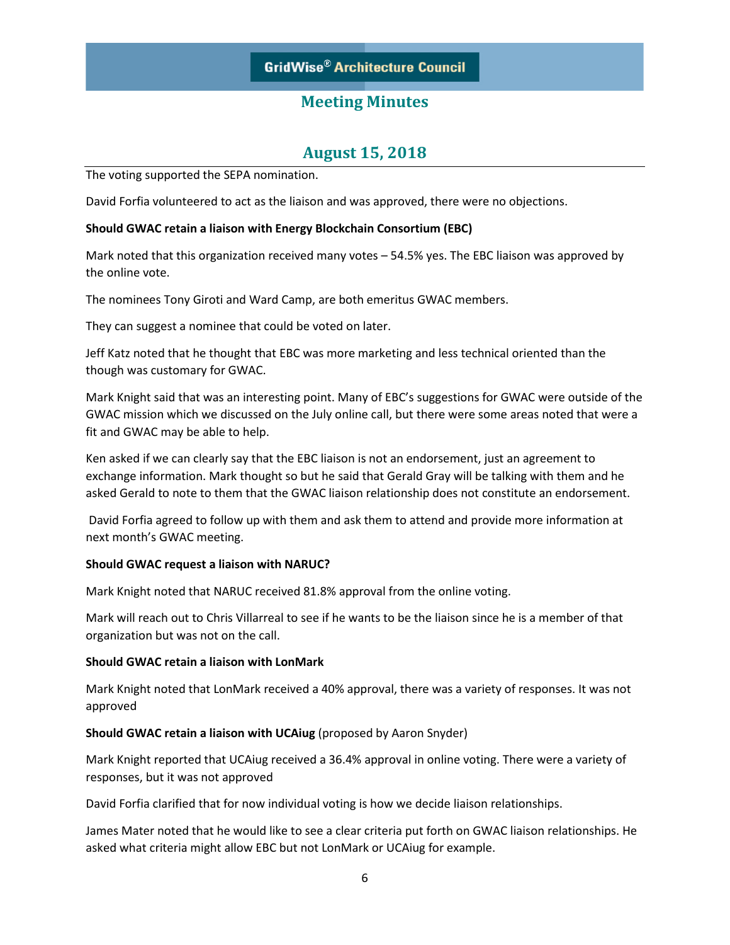# **August 15, 2018**

The voting supported the SEPA nomination.

David Forfia volunteered to act as the liaison and was approved, there were no objections.

#### **Should GWAC retain a liaison with Energy Blockchain Consortium (EBC)**

Mark noted that this organization received many votes – 54.5% yes. The EBC liaison was approved by the online vote.

The nominees Tony Giroti and Ward Camp, are both emeritus GWAC members.

They can suggest a nominee that could be voted on later.

Jeff Katz noted that he thought that EBC was more marketing and less technical oriented than the though was customary for GWAC.

Mark Knight said that was an interesting point. Many of EBC's suggestions for GWAC were outside of the GWAC mission which we discussed on the July online call, but there were some areas noted that were a fit and GWAC may be able to help.

Ken asked if we can clearly say that the EBC liaison is not an endorsement, just an agreement to exchange information. Mark thought so but he said that Gerald Gray will be talking with them and he asked Gerald to note to them that the GWAC liaison relationship does not constitute an endorsement.

David Forfia agreed to follow up with them and ask them to attend and provide more information at next month's GWAC meeting.

### **Should GWAC request a liaison with NARUC?**

Mark Knight noted that NARUC received 81.8% approval from the online voting.

Mark will reach out to Chris Villarreal to see if he wants to be the liaison since he is a member of that organization but was not on the call.

#### **Should GWAC retain a liaison with LonMark**

Mark Knight noted that LonMark received a 40% approval, there was a variety of responses. It was not approved

### **Should GWAC retain a liaison with UCAiug** (proposed by Aaron Snyder)

Mark Knight reported that UCAiug received a 36.4% approval in online voting. There were a variety of responses, but it was not approved

David Forfia clarified that for now individual voting is how we decide liaison relationships.

James Mater noted that he would like to see a clear criteria put forth on GWAC liaison relationships. He asked what criteria might allow EBC but not LonMark or UCAiug for example.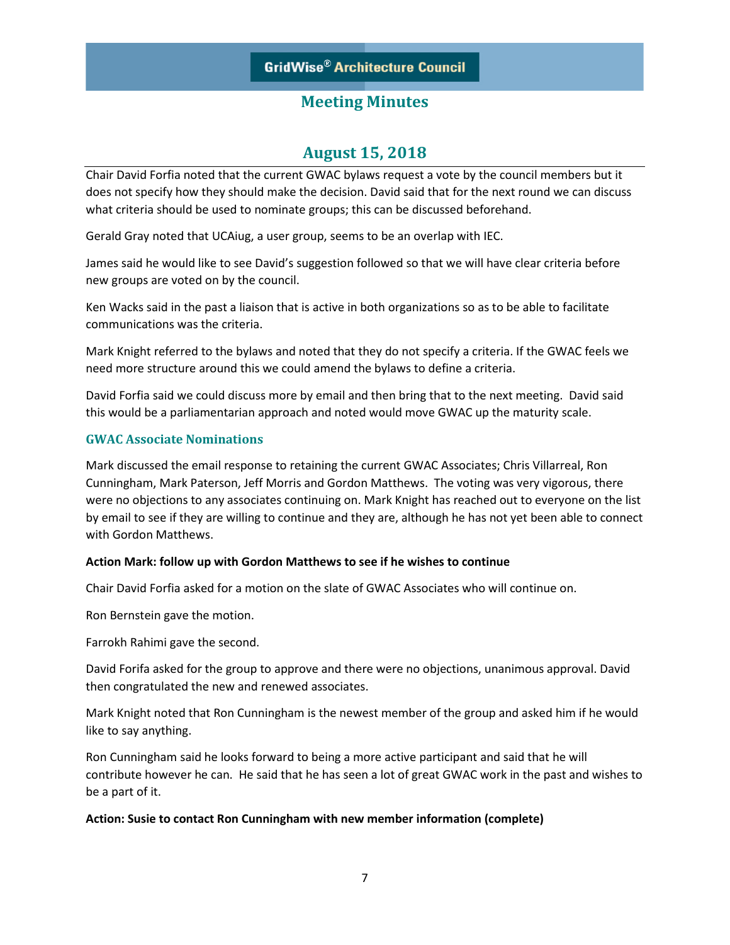# **August 15, 2018**

Chair David Forfia noted that the current GWAC bylaws request a vote by the council members but it does not specify how they should make the decision. David said that for the next round we can discuss what criteria should be used to nominate groups; this can be discussed beforehand.

Gerald Gray noted that UCAiug, a user group, seems to be an overlap with IEC.

James said he would like to see David's suggestion followed so that we will have clear criteria before new groups are voted on by the council.

Ken Wacks said in the past a liaison that is active in both organizations so as to be able to facilitate communications was the criteria.

Mark Knight referred to the bylaws and noted that they do not specify a criteria. If the GWAC feels we need more structure around this we could amend the bylaws to define a criteria.

David Forfia said we could discuss more by email and then bring that to the next meeting. David said this would be a parliamentarian approach and noted would move GWAC up the maturity scale.

### **GWAC Associate Nominations**

Mark discussed the email response to retaining the current GWAC Associates; Chris Villarreal, Ron Cunningham, Mark Paterson, Jeff Morris and Gordon Matthews. The voting was very vigorous, there were no objections to any associates continuing on. Mark Knight has reached out to everyone on the list by email to see if they are willing to continue and they are, although he has not yet been able to connect with Gordon Matthews.

### **Action Mark: follow up with Gordon Matthews to see if he wishes to continue**

Chair David Forfia asked for a motion on the slate of GWAC Associates who will continue on.

Ron Bernstein gave the motion.

Farrokh Rahimi gave the second.

David Forifa asked for the group to approve and there were no objections, unanimous approval. David then congratulated the new and renewed associates.

Mark Knight noted that Ron Cunningham is the newest member of the group and asked him if he would like to say anything.

Ron Cunningham said he looks forward to being a more active participant and said that he will contribute however he can. He said that he has seen a lot of great GWAC work in the past and wishes to be a part of it.

### **Action: Susie to contact Ron Cunningham with new member information (complete)**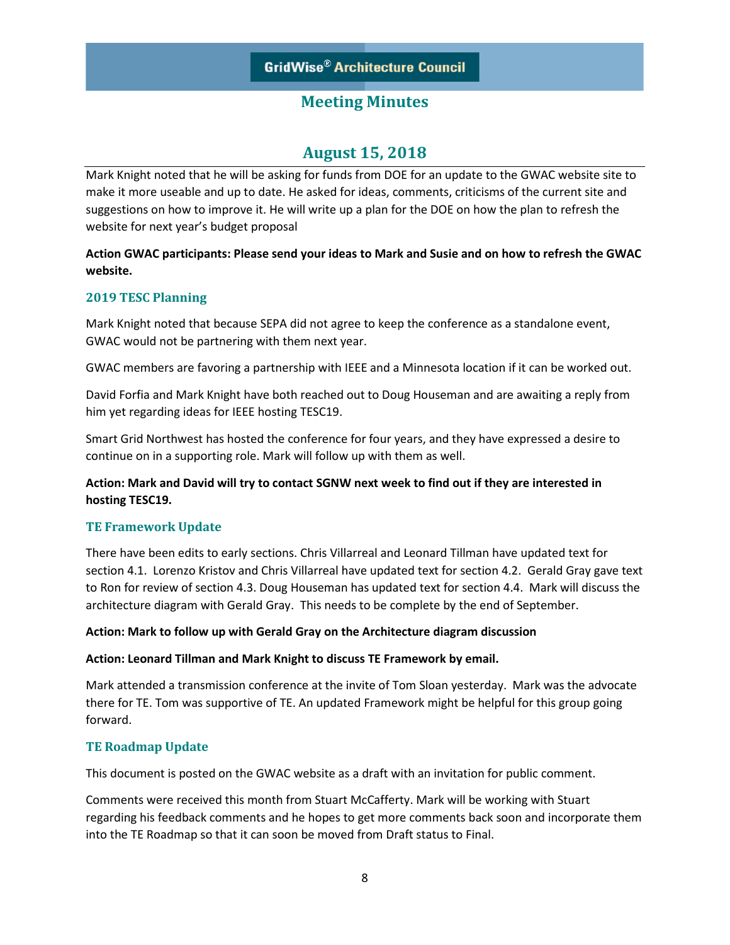# **August 15, 2018**

Mark Knight noted that he will be asking for funds from DOE for an update to the GWAC website site to make it more useable and up to date. He asked for ideas, comments, criticisms of the current site and suggestions on how to improve it. He will write up a plan for the DOE on how the plan to refresh the website for next year's budget proposal

### **Action GWAC participants: Please send your ideas to Mark and Susie and on how to refresh the GWAC website.**

### **2019 TESC Planning**

Mark Knight noted that because SEPA did not agree to keep the conference as a standalone event, GWAC would not be partnering with them next year.

GWAC members are favoring a partnership with IEEE and a Minnesota location if it can be worked out.

David Forfia and Mark Knight have both reached out to Doug Houseman and are awaiting a reply from him yet regarding ideas for IEEE hosting TESC19.

Smart Grid Northwest has hosted the conference for four years, and they have expressed a desire to continue on in a supporting role. Mark will follow up with them as well.

### **Action: Mark and David will try to contact SGNW next week to find out if they are interested in hosting TESC19.**

### **TE Framework Update**

There have been edits to early sections. Chris Villarreal and Leonard Tillman have updated text for section 4.1. Lorenzo Kristov and Chris Villarreal have updated text for section 4.2. Gerald Gray gave text to Ron for review of section 4.3. Doug Houseman has updated text for section 4.4. Mark will discuss the architecture diagram with Gerald Gray. This needs to be complete by the end of September.

### **Action: Mark to follow up with Gerald Gray on the Architecture diagram discussion**

### **Action: Leonard Tillman and Mark Knight to discuss TE Framework by email.**

Mark attended a transmission conference at the invite of Tom Sloan yesterday. Mark was the advocate there for TE. Tom was supportive of TE. An updated Framework might be helpful for this group going forward.

### **TE Roadmap Update**

This document is posted on the GWAC website as a draft with an invitation for public comment.

Comments were received this month from Stuart McCafferty. Mark will be working with Stuart regarding his feedback comments and he hopes to get more comments back soon and incorporate them into the TE Roadmap so that it can soon be moved from Draft status to Final.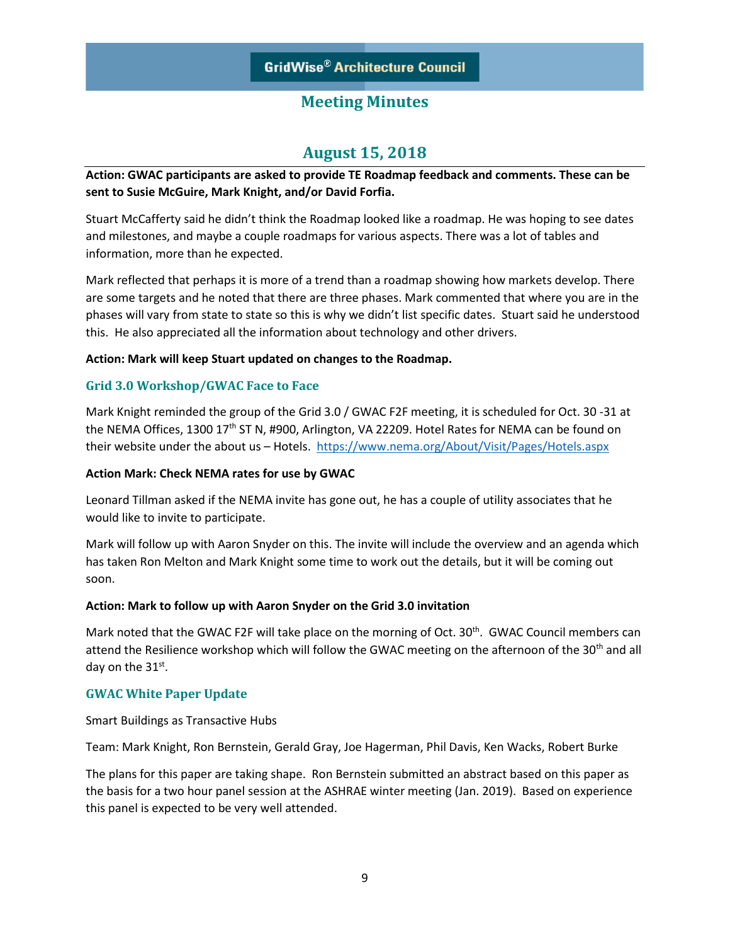# **August 15, 2018**

### **Action: GWAC participants are asked to provide TE Roadmap feedback and comments. These can be sent to Susie McGuire, Mark Knight, and/or David Forfia.**

Stuart McCafferty said he didn't think the Roadmap looked like a roadmap. He was hoping to see dates and milestones, and maybe a couple roadmaps for various aspects. There was a lot of tables and information, more than he expected.

Mark reflected that perhaps it is more of a trend than a roadmap showing how markets develop. There are some targets and he noted that there are three phases. Mark commented that where you are in the phases will vary from state to state so this is why we didn't list specific dates. Stuart said he understood this. He also appreciated all the information about technology and other drivers.

#### **Action: Mark will keep Stuart updated on changes to the Roadmap.**

### **Grid 3.0 Workshop/GWAC Face to Face**

Mark Knight reminded the group of the Grid 3.0 / GWAC F2F meeting, it is scheduled for Oct. 30 -31 at the NEMA Offices, 1300 17<sup>th</sup> ST N, #900, Arlington, VA 22209. Hotel Rates for NEMA can be found on their website under the about us - Hotels.<https://www.nema.org/About/Visit/Pages/Hotels.aspx>

#### **Action Mark: Check NEMA rates for use by GWAC**

Leonard Tillman asked if the NEMA invite has gone out, he has a couple of utility associates that he would like to invite to participate.

Mark will follow up with Aaron Snyder on this. The invite will include the overview and an agenda which has taken Ron Melton and Mark Knight some time to work out the details, but it will be coming out soon.

#### **Action: Mark to follow up with Aaron Snyder on the Grid 3.0 invitation**

Mark noted that the GWAC F2F will take place on the morning of Oct. 30<sup>th</sup>. GWAC Council members can attend the Resilience workshop which will follow the GWAC meeting on the afternoon of the 30<sup>th</sup> and all day on the 31st.

### **GWAC White Paper Update**

Smart Buildings as Transactive Hubs

Team: Mark Knight, Ron Bernstein, Gerald Gray, Joe Hagerman, Phil Davis, Ken Wacks, Robert Burke

The plans for this paper are taking shape. Ron Bernstein submitted an abstract based on this paper as the basis for a two hour panel session at the ASHRAE winter meeting (Jan. 2019). Based on experience this panel is expected to be very well attended.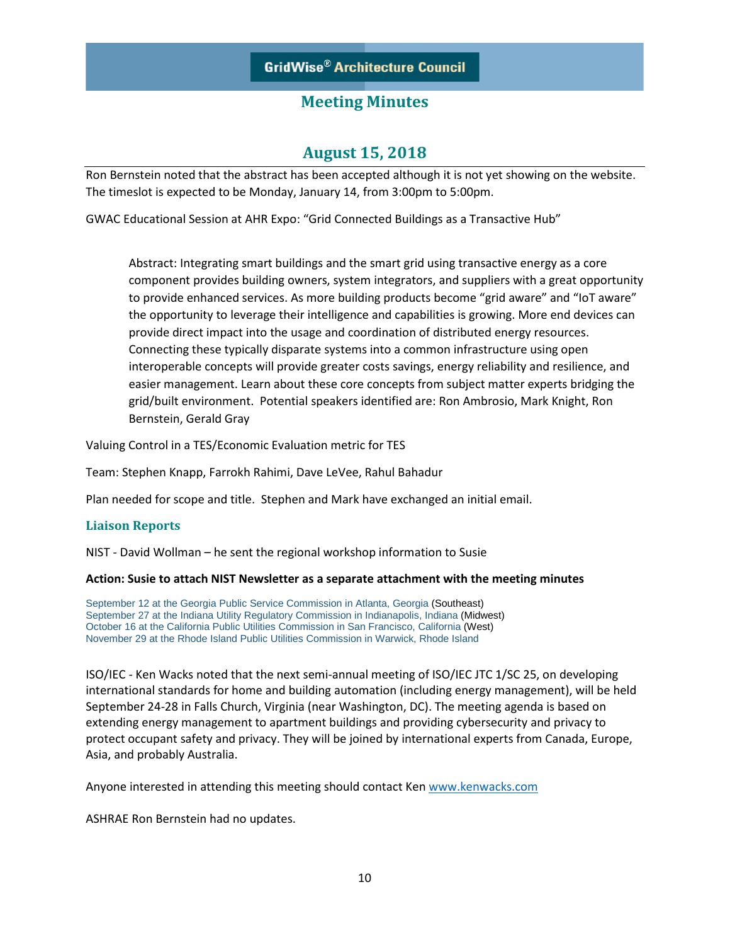# **August 15, 2018**

Ron Bernstein noted that the abstract has been accepted although it is not yet showing on the website. The timeslot is expected to be Monday, January 14, from 3:00pm to 5:00pm.

GWAC Educational Session at AHR Expo: "Grid Connected Buildings as a Transactive Hub"

Abstract: Integrating smart buildings and the smart grid using transactive energy as a core component provides building owners, system integrators, and suppliers with a great opportunity to provide enhanced services. As more building products become "grid aware" and "IoT aware" the opportunity to leverage their intelligence and capabilities is growing. More end devices can provide direct impact into the usage and coordination of distributed energy resources. Connecting these typically disparate systems into a common infrastructure using open interoperable concepts will provide greater costs savings, energy reliability and resilience, and easier management. Learn about these core concepts from subject matter experts bridging the grid/built environment. Potential speakers identified are: Ron Ambrosio, Mark Knight, Ron Bernstein, Gerald Gray

Valuing Control in a TES/Economic Evaluation metric for TES

Team: Stephen Knapp, Farrokh Rahimi, Dave LeVee, Rahul Bahadur

Plan needed for scope and title. Stephen and Mark have exchanged an initial email.

### **Liaison Reports**

NIST - David Wollman – he sent the regional workshop information to Susie

#### **Action: Susie to attach NIST Newsletter as a separate attachment with the meeting minutes**

September 12 at the Georgia Public Service Commission in Atlanta, Georgia (Southeast) September 27 at the Indiana Utility Regulatory Commission in Indianapolis, Indiana (Midwest) October 16 at the California Public Utilities Commission in San Francisco, California (West) November 29 at the Rhode Island Public Utilities Commission in Warwick, Rhode Island

ISO/IEC - Ken Wacks noted that the next semi-annual meeting of ISO/IEC JTC 1/SC 25, on developing international standards for home and building automation (including energy management), will be held September 24-28 in Falls Church, Virginia (near Washington, DC). The meeting agenda is based on extending energy management to apartment buildings and providing cybersecurity and privacy to protect occupant safety and privacy. They will be joined by international experts from Canada, Europe, Asia, and probably Australia.

Anyone interested in attending this meeting should contact Ke[n www.kenwacks.com](http://www.kenwacks.com/)

ASHRAE Ron Bernstein had no updates.